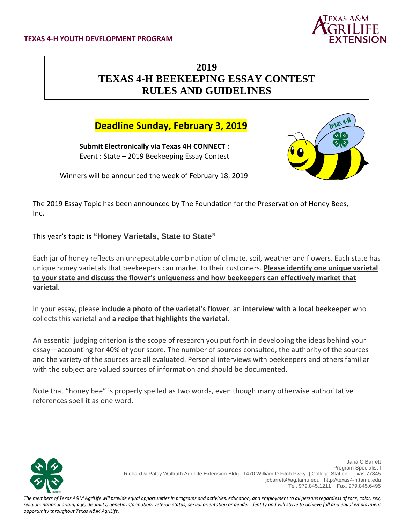

# **2019 TEXAS 4-H BEEKEEPING ESSAY CONTEST RULES AND GUIDELINES**

## **Deadline Sunday, February 3, 2019**

**Submit Electronically via Texas 4H CONNECT :** Event : State – 2019 Beekeeping Essay Contest



Winners will be announced the week of February 18, 2019

The 2019 Essay Topic has been announced by The Foundation for the Preservation of Honey Bees, Inc.

This year's topic is **"Honey Varietals, State to State"**

Each jar of honey reflects an unrepeatable combination of climate, soil, weather and flowers. Each state has unique honey varietals that beekeepers can market to their customers. **Please identify one unique varietal to your state and discuss the flower's uniqueness and how beekeepers can effectively market that varietal.**

In your essay, please **include a photo of the varietal's flower**, an **interview with a local beekeeper** who collects this varietal and **a recipe that highlights the varietal**.

An essential judging criterion is the scope of research you put forth in developing the ideas behind your essay—accounting for 40% of your score. The number of sources consulted, the authority of the sources and the variety of the sources are all evaluated. Personal interviews with beekeepers and others familiar with the subject are valued sources of information and should be documented.

Note that "honey bee" is properly spelled as two words, even though many otherwise authoritative references spell it as one word.



Jana C Barrett Program Specialist I Richard & Patsy Wallrath AgriLife Extension Bldg | 1470 William D Fitch Pwky | College Station, Texas 77845 jcbarrett@ag.tamu.edu | http://texas4-h.tamu.edu Tel. 979.845.1211 | Fax. 979.845.6495

*The members of Texas A&M AgriLife will provide equal opportunities in programs and activities, education, and employment to all persons regardless of race, color, sex, religion, national origin, age, disability, genetic information, veteran status, sexual orientation or gender identity and will strive to achieve full and equal employment opportunity throughout Texas A&M AgriLife.*